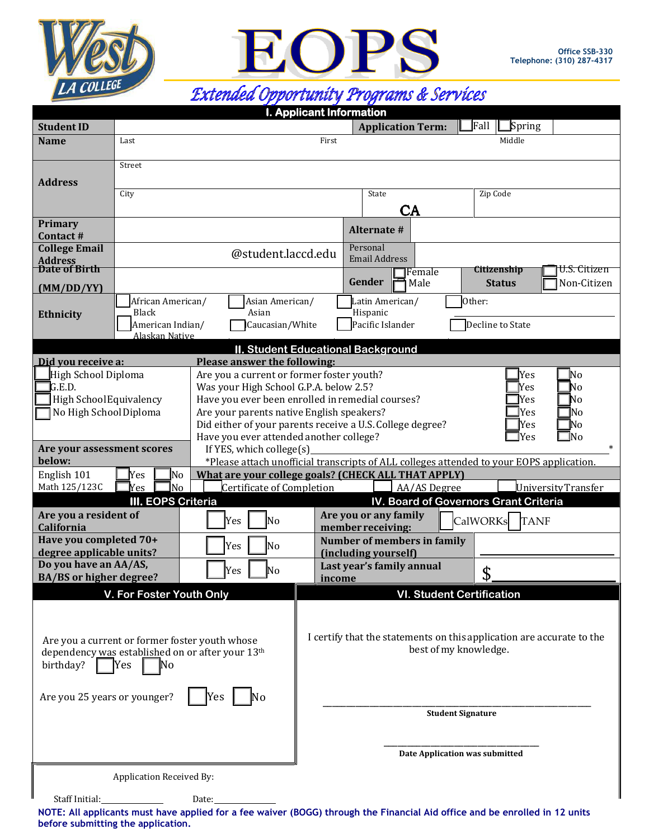



## **Extended Opportunity Programs & Services**

| <b>I. Applicant Information</b>                                                                                                                                                                                                                                                |                                        |                                                                                                      |                |                                  |                                                       |  |                 |                    |                     |
|--------------------------------------------------------------------------------------------------------------------------------------------------------------------------------------------------------------------------------------------------------------------------------|----------------------------------------|------------------------------------------------------------------------------------------------------|----------------|----------------------------------|-------------------------------------------------------|--|-----------------|--------------------|---------------------|
| <b>Student ID</b>                                                                                                                                                                                                                                                              |                                        |                                                                                                      |                |                                  | <b>Application Term:</b>                              |  | <b>Fall</b>     | $\Box$ Spring      |                     |
| <b>Name</b>                                                                                                                                                                                                                                                                    | Middle<br>First<br>Last                |                                                                                                      |                |                                  |                                                       |  |                 |                    |                     |
| Street<br><b>Address</b>                                                                                                                                                                                                                                                       |                                        |                                                                                                      |                |                                  |                                                       |  |                 |                    |                     |
|                                                                                                                                                                                                                                                                                | City                                   |                                                                                                      |                | State                            |                                                       |  | Zip Code        |                    |                     |
| Primary                                                                                                                                                                                                                                                                        |                                        |                                                                                                      |                | Alternate #                      | CA                                                    |  |                 |                    |                     |
| Contact #                                                                                                                                                                                                                                                                      |                                        |                                                                                                      |                |                                  |                                                       |  |                 |                    |                     |
| <b>College Email</b>                                                                                                                                                                                                                                                           |                                        | @student.laccd.edu                                                                                   |                | Personal<br><b>Email Address</b> |                                                       |  |                 |                    |                     |
| <b>Address</b><br>Date of Birth                                                                                                                                                                                                                                                |                                        |                                                                                                      |                |                                  | Female                                                |  |                 | <b>Citizenship</b> | U.S. Citizen        |
| (MM/DD/YY)                                                                                                                                                                                                                                                                     |                                        |                                                                                                      |                | Gender                           | Male                                                  |  |                 | <b>Status</b>      | Non-Citizen         |
| Ethnicity                                                                                                                                                                                                                                                                      | African American/<br>Black             | Asian American/<br>Asian                                                                             |                | Hispanic                         | Latin American/                                       |  | Other:          |                    |                     |
|                                                                                                                                                                                                                                                                                | American Indian/<br>Alaskan Native     | Caucasian/White                                                                                      |                |                                  | Pacific Islander                                      |  |                 | Decline to State   |                     |
|                                                                                                                                                                                                                                                                                |                                        | <b>II. Student Educational Background</b>                                                            |                |                                  |                                                       |  |                 |                    |                     |
| Did you receive a:<br>High School Diploma                                                                                                                                                                                                                                      |                                        | Please answer the following:<br>Are you a current or former foster youth?                            |                |                                  |                                                       |  |                 | Yes                | No                  |
| G.E.D.                                                                                                                                                                                                                                                                         |                                        | Was your High School G.P.A. below 2.5?                                                               | N0.<br>Yes     |                                  |                                                       |  |                 |                    |                     |
| High School Equivalency                                                                                                                                                                                                                                                        |                                        | Have you ever been enrolled in remedial courses?<br>[No<br>Yes                                       |                |                                  |                                                       |  |                 |                    |                     |
| No High School Diploma                                                                                                                                                                                                                                                         |                                        | Are your parents native English speakers?                                                            |                |                                  |                                                       |  |                 | Yes                | 1No<br>]No          |
|                                                                                                                                                                                                                                                                                |                                        | Did either of your parents receive a U.S. College degree?<br>Have you ever attended another college? |                |                                  |                                                       |  |                 | Yes<br>Yes         | ∃No                 |
| Are your assessment scores                                                                                                                                                                                                                                                     |                                        | If YES, which college(s)                                                                             | $\ast$         |                                  |                                                       |  |                 |                    |                     |
| below:                                                                                                                                                                                                                                                                         |                                        | *Please attach unofficial transcripts of ALL colleges attended to your EOPS application.             |                |                                  |                                                       |  |                 |                    |                     |
| English 101                                                                                                                                                                                                                                                                    | No<br>Yes                              | What are your college goals? (CHECK ALL THAT APPLY)                                                  |                |                                  |                                                       |  |                 |                    |                     |
| Math 125/123C                                                                                                                                                                                                                                                                  | No<br>Yes<br><b>III. EOPS Criteria</b> | Certificate of Completion                                                                            |                |                                  | AA/AS Degree<br>IV. Board of Governors Grant Criteria |  |                 |                    | University Transfer |
| Are you a resident of                                                                                                                                                                                                                                                          |                                        |                                                                                                      |                |                                  | Are you or any family                                 |  |                 |                    |                     |
| <b>California</b>                                                                                                                                                                                                                                                              |                                        | Yes<br>No                                                                                            |                | member receiving:                |                                                       |  | <b>CalWORKs</b> | <b>TANF</b>        |                     |
| Have you completed 70+                                                                                                                                                                                                                                                         |                                        | Yes<br>No                                                                                            |                |                                  | <b>Number of members in family</b>                    |  |                 |                    |                     |
| degree applicable units?                                                                                                                                                                                                                                                       |                                        |                                                                                                      |                |                                  | (including yourself)                                  |  |                 |                    |                     |
| Do you have an AA/AS,<br><b>BA/BS</b> or higher degree?                                                                                                                                                                                                                        |                                        | Yes<br> No                                                                                           | <u>_income</u> |                                  | Last year's family annual                             |  | \$              |                    |                     |
|                                                                                                                                                                                                                                                                                | V. For Foster Youth Only               |                                                                                                      |                |                                  | <b>VI. Student Certification</b>                      |  |                 |                    |                     |
|                                                                                                                                                                                                                                                                                |                                        |                                                                                                      |                |                                  |                                                       |  |                 |                    |                     |
| I certify that the statements on this application are accurate to the<br>Are you a current or former foster youth whose<br>best of my knowledge.<br>dependency was established on or after your 13th<br>birthday? $\boxed{\phantom{a}}$<br><b>Yes</b><br>$\mathbb{N}^{\Omega}$ |                                        |                                                                                                      |                |                                  |                                                       |  |                 |                    |                     |
| Are you 25 years or younger?<br>Yes<br>No                                                                                                                                                                                                                                      |                                        |                                                                                                      |                |                                  |                                                       |  |                 |                    |                     |
|                                                                                                                                                                                                                                                                                |                                        | <b>Student Signature</b>                                                                             |                |                                  |                                                       |  |                 |                    |                     |
|                                                                                                                                                                                                                                                                                |                                        |                                                                                                      |                |                                  |                                                       |  |                 |                    |                     |
|                                                                                                                                                                                                                                                                                |                                        |                                                                                                      |                |                                  | Date Application was submitted                        |  |                 |                    |                     |
|                                                                                                                                                                                                                                                                                | <b>Application Received By:</b>        |                                                                                                      |                |                                  |                                                       |  |                 |                    |                     |
|                                                                                                                                                                                                                                                                                |                                        |                                                                                                      |                |                                  |                                                       |  |                 |                    |                     |
| Staff Initial:                                                                                                                                                                                                                                                                 |                                        | Date:                                                                                                |                |                                  |                                                       |  |                 |                    |                     |

**NOTE: All applicants must have applied for a fee waiver (BOGG) through the Financial Aid office and be enrolled in 12 units before submitting the application.**